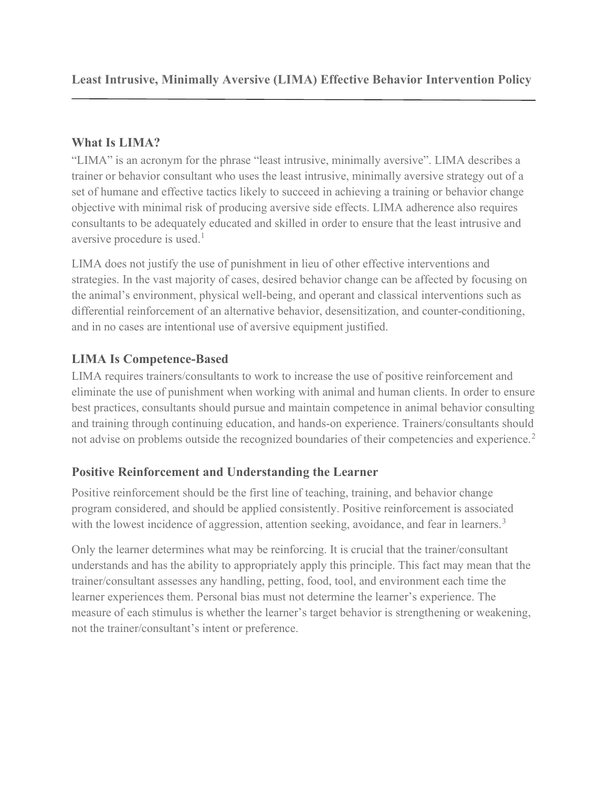## What Is LIMA?

"LIMA" is an acronym for the phrase "least intrusive, minimally aversive". LIMA describes a trainer or behavior consultant who uses the least intrusive, minimally aversive strategy out of a set of humane and effective tactics likely to succeed in achieving a training or behavior change objective with minimal risk of producing aversive side effects. LIMA adherence also requires consultants to be adequately educated and skilled in order to ensure that the least intrusive and aversive procedure is used.<sup>1</sup>

LIMA does not justify the use of punishment in lieu of other effective interventions and strategies. In the vast majority of cases, desired behavior change can be affected by focusing on the animal's environment, physical well-being, and operant and classical interventions such as differential reinforcement of an alternative behavior, desensitization, and counter-conditioning, and in no cases are intentional use of aversive equipment justified.

# LIMA Is Competence-Based

LIMA requires trainers/consultants to work to increase the use of positive reinforcement and eliminate the use of punishment when working with animal and human clients. In order to ensure best practices, consultants should pursue and maintain competence in animal behavior consulting and training through continuing education, and hands-on experience. Trainers/consultants should not advise on problems outside the recognized boundaries of their competencies and experience.<sup>2</sup>

# Positive Reinforcement and Understanding the Learner

Positive reinforcement should be the first line of teaching, training, and behavior change program considered, and should be applied consistently. Positive reinforcement is associated with the lowest incidence of aggression, attention seeking, avoidance, and fear in learners.<sup>3</sup>

Only the learner determines what may be reinforcing. It is crucial that the trainer/consultant understands and has the ability to appropriately apply this principle. This fact may mean that the trainer/consultant assesses any handling, petting, food, tool, and environment each time the learner experiences them. Personal bias must not determine the learner's experience. The measure of each stimulus is whether the learner's target behavior is strengthening or weakening, not the trainer/consultant's intent or preference.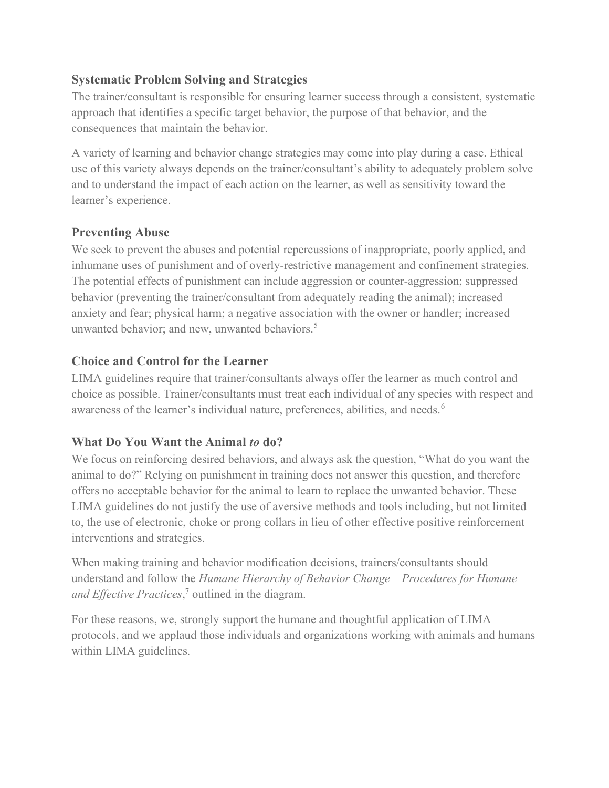## Systematic Problem Solving and Strategies

The trainer/consultant is responsible for ensuring learner success through a consistent, systematic approach that identifies a specific target behavior, the purpose of that behavior, and the consequences that maintain the behavior.

A variety of learning and behavior change strategies may come into play during a case. Ethical use of this variety always depends on the trainer/consultant's ability to adequately problem solve and to understand the impact of each action on the learner, as well as sensitivity toward the learner's experience.

### Preventing Abuse

We seek to prevent the abuses and potential repercussions of inappropriate, poorly applied, and inhumane uses of punishment and of overly-restrictive management and confinement strategies. The potential effects of punishment can include aggression or counter-aggression; suppressed behavior (preventing the trainer/consultant from adequately reading the animal); increased anxiety and fear; physical harm; a negative association with the owner or handler; increased unwanted behavior; and new, unwanted behaviors.<sup>5</sup>

### Choice and Control for the Learner

LIMA guidelines require that trainer/consultants always offer the learner as much control and choice as possible. Trainer/consultants must treat each individual of any species with respect and awareness of the learner's individual nature, preferences, abilities, and needs.<sup>6</sup>

# What Do You Want the Animal to do?

We focus on reinforcing desired behaviors, and always ask the question, "What do you want the animal to do?" Relying on punishment in training does not answer this question, and therefore offers no acceptable behavior for the animal to learn to replace the unwanted behavior. These LIMA guidelines do not justify the use of aversive methods and tools including, but not limited to, the use of electronic, choke or prong collars in lieu of other effective positive reinforcement interventions and strategies.

When making training and behavior modification decisions, trainers/consultants should understand and follow the Humane Hierarchy of Behavior Change – Procedures for Humane and Effective Practices,<sup>7</sup> outlined in the diagram.

For these reasons, we, strongly support the humane and thoughtful application of LIMA protocols, and we applaud those individuals and organizations working with animals and humans within LIMA guidelines.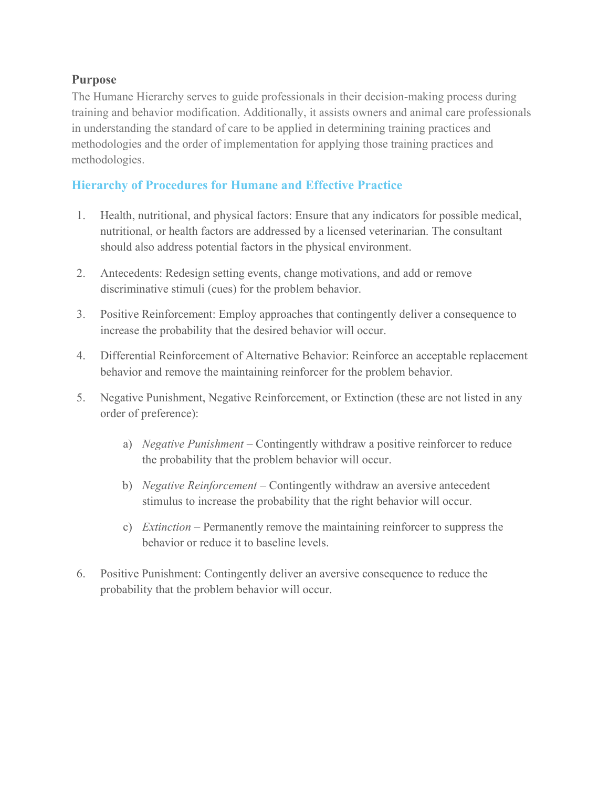### Purpose

The Humane Hierarchy serves to guide professionals in their decision-making process during training and behavior modification. Additionally, it assists owners and animal care professionals in understanding the standard of care to be applied in determining training practices and methodologies and the order of implementation for applying those training practices and methodologies.

## Hierarchy of Procedures for Humane and Effective Practice

- 1. Health, nutritional, and physical factors: Ensure that any indicators for possible medical, nutritional, or health factors are addressed by a licensed veterinarian. The consultant should also address potential factors in the physical environment.
- 2. Antecedents: Redesign setting events, change motivations, and add or remove discriminative stimuli (cues) for the problem behavior.
- 3. Positive Reinforcement: Employ approaches that contingently deliver a consequence to increase the probability that the desired behavior will occur.
- 4. Differential Reinforcement of Alternative Behavior: Reinforce an acceptable replacement behavior and remove the maintaining reinforcer for the problem behavior.
- 5. Negative Punishment, Negative Reinforcement, or Extinction (these are not listed in any order of preference):
	- a) Negative Punishment Contingently withdraw a positive reinforcer to reduce the probability that the problem behavior will occur.
	- b) *Negative Reinforcement* Contingently withdraw an aversive antecedent stimulus to increase the probability that the right behavior will occur.
	- c) Extinction Permanently remove the maintaining reinforcer to suppress the behavior or reduce it to baseline levels.
- 6. Positive Punishment: Contingently deliver an aversive consequence to reduce the probability that the problem behavior will occur.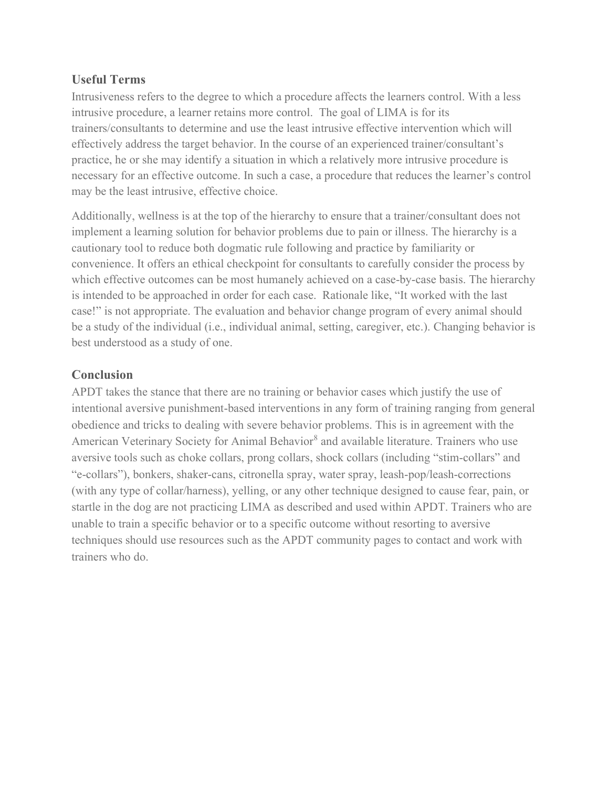#### Useful Terms

Intrusiveness refers to the degree to which a procedure affects the learners control. With a less intrusive procedure, a learner retains more control. The goal of LIMA is for its trainers/consultants to determine and use the least intrusive effective intervention which will effectively address the target behavior. In the course of an experienced trainer/consultant's practice, he or she may identify a situation in which a relatively more intrusive procedure is necessary for an effective outcome. In such a case, a procedure that reduces the learner's control may be the least intrusive, effective choice.

Additionally, wellness is at the top of the hierarchy to ensure that a trainer/consultant does not implement a learning solution for behavior problems due to pain or illness. The hierarchy is a cautionary tool to reduce both dogmatic rule following and practice by familiarity or convenience. It offers an ethical checkpoint for consultants to carefully consider the process by which effective outcomes can be most humanely achieved on a case-by-case basis. The hierarchy is intended to be approached in order for each case. Rationale like, "It worked with the last case!" is not appropriate. The evaluation and behavior change program of every animal should be a study of the individual (i.e., individual animal, setting, caregiver, etc.). Changing behavior is best understood as a study of one.

#### **Conclusion**

APDT takes the stance that there are no training or behavior cases which justify the use of intentional aversive punishment-based interventions in any form of training ranging from general obedience and tricks to dealing with severe behavior problems. This is in agreement with the American Veterinary Society for Animal Behavior<sup>8</sup> and available literature. Trainers who use aversive tools such as choke collars, prong collars, shock collars (including "stim-collars" and "e-collars"), bonkers, shaker-cans, citronella spray, water spray, leash-pop/leash-corrections (with any type of collar/harness), yelling, or any other technique designed to cause fear, pain, or startle in the dog are not practicing LIMA as described and used within APDT. Trainers who are unable to train a specific behavior or to a specific outcome without resorting to aversive techniques should use resources such as the APDT community pages to contact and work with trainers who do.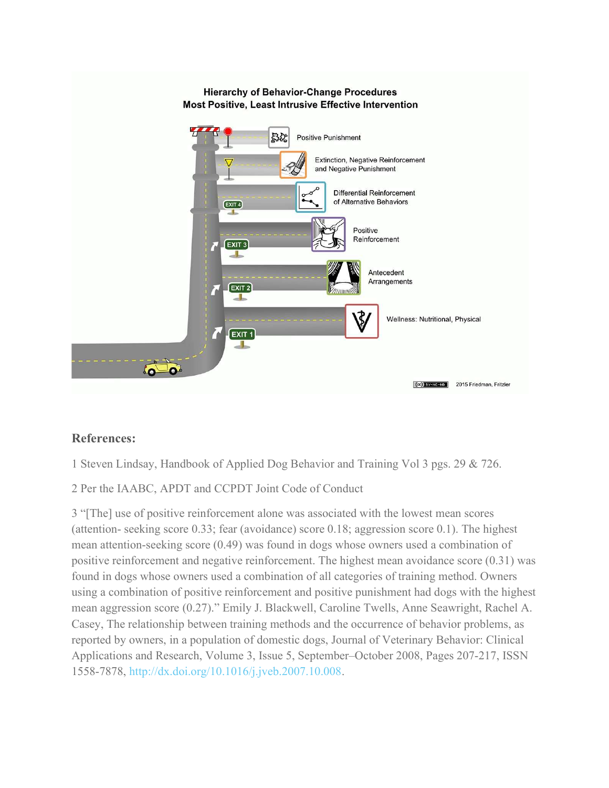

### References:

1 Steven Lindsay, Handbook of Applied Dog Behavior and Training Vol 3 pgs. 29 & 726.

2 Per the IAABC, APDT and CCPDT Joint Code of Conduct

3 "[The] use of positive reinforcement alone was associated with the lowest mean scores (attention- seeking score 0.33; fear (avoidance) score 0.18; aggression score 0.1). The highest mean attention-seeking score (0.49) was found in dogs whose owners used a combination of positive reinforcement and negative reinforcement. The highest mean avoidance score (0.31) was found in dogs whose owners used a combination of all categories of training method. Owners using a combination of positive reinforcement and positive punishment had dogs with the highest mean aggression score (0.27)." Emily J. Blackwell, Caroline Twells, Anne Seawright, Rachel A. Casey, The relationship between training methods and the occurrence of behavior problems, as reported by owners, in a population of domestic dogs, Journal of Veterinary Behavior: Clinical Applications and Research, Volume 3, Issue 5, September–October 2008, Pages 207-217, ISSN 1558-7878, http://dx.doi.org/10.1016/j.jveb.2007.10.008.